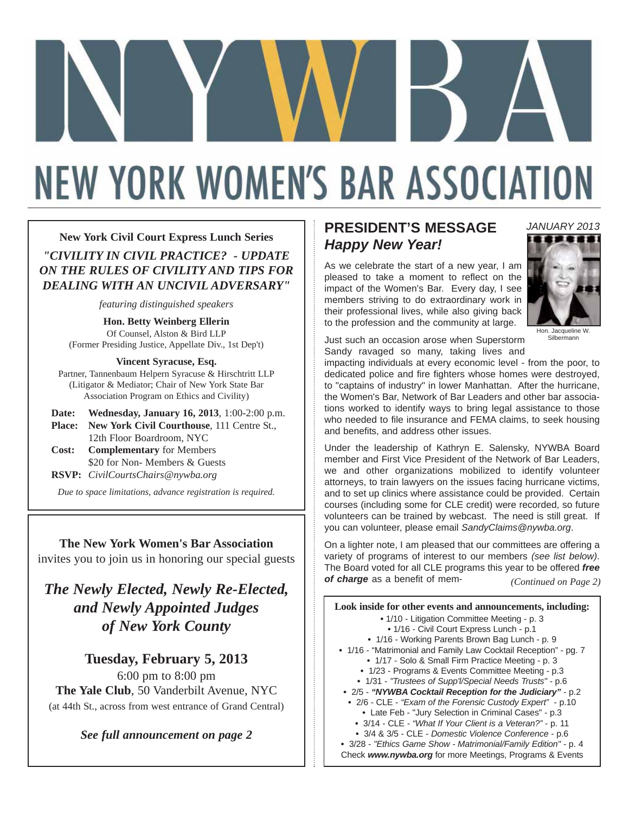# **NEW YORK WOMEN'S BAR ASSOCIATION**

#### **New York Civil Court Express Lunch Series**

*"CIVILITY IN CIVIL PRACTICE? - UPDATE ON THE RULES OF CIVILITY AND TIPS FOR DEALING WITH AN UNCIVIL ADVERSARY"*

*featuring distinguished speakers*

**Hon. Betty Weinberg Ellerin** Of Counsel, Alston & Bird LLP (Former Presiding Justice, Appellate Div., 1st Dep't)

**Vincent Syracuse, Esq.** Partner, Tannenbaum Helpern Syracuse & Hirschtritt LLP (Litigator & Mediator; Chair of New York State Bar Association Program on Ethics and Civility)

|       | <b>Date:</b> Wednesday, January 16, 2013, 1:00-2:00 p.m. |
|-------|----------------------------------------------------------|
|       | <b>Place:</b> New York Civil Courthouse, 111 Centre St., |
|       | 12th Floor Boardroom, NYC                                |
| Cost: | <b>Complementary</b> for Members                         |
|       | \$20 for Non- Members & Guests                           |
|       | <b>RSVP:</b> CivilCourtsChairs@nywba.org                 |

*Due to space limitations, advance registration is required.*

**The New York Women's Bar Association** invites you to join us in honoring our special guests

*The Newly Elected, Newly Re-Elected, and Newly Appointed Judges of New York County*

**Tuesday, February 5, 2013** 6:00 pm to 8:00 pm **The Yale Club**, 50 Vanderbilt Avenue, NYC (at 44th St., across from west entrance of Grand Central)

*See full announcement on page 2*

## **PRESIDENT'S MESSAGE** *Happy New Year!*

As we celebrate the start of a new year, I am pleased to take a moment to reflect on the impact of the Women's Bar. Every day, I see members striving to do extraordinary work in their professional lives, while also giving back to the profession and the community at large.



*JANUARY 2013*

Hon. Jacqueline W. Silbermann

Just such an occasion arose when Superstorm Sandy ravaged so many, taking lives and

impacting individuals at every economic level - from the poor, to dedicated police and fire fighters whose homes were destroyed, to "captains of industry" in lower Manhattan. After the hurricane, the Women's Bar, Network of Bar Leaders and other bar associations worked to identify ways to bring legal assistance to those who needed to file insurance and FEMA claims, to seek housing and benefits, and address other issues.

Under the leadership of Kathryn E. Salensky, NYWBA Board member and First Vice President of the Network of Bar Leaders, we and other organizations mobilized to identify volunteer attorneys, to train lawyers on the issues facing hurricane victims, and to set up clinics where assistance could be provided. Certain courses (including some for CLE credit) were recorded, so future volunteers can be trained by webcast. The need is still great. If you can volunteer, please email *SandyClaims@nywba.org*.

On a lighter note, I am pleased that our committees are offering a variety of programs of interest to our members *(see list below)*. The Board voted for all CLE programs this year to be offered *free of charge* as a benefit of mem-*(Continued on Page 2)*

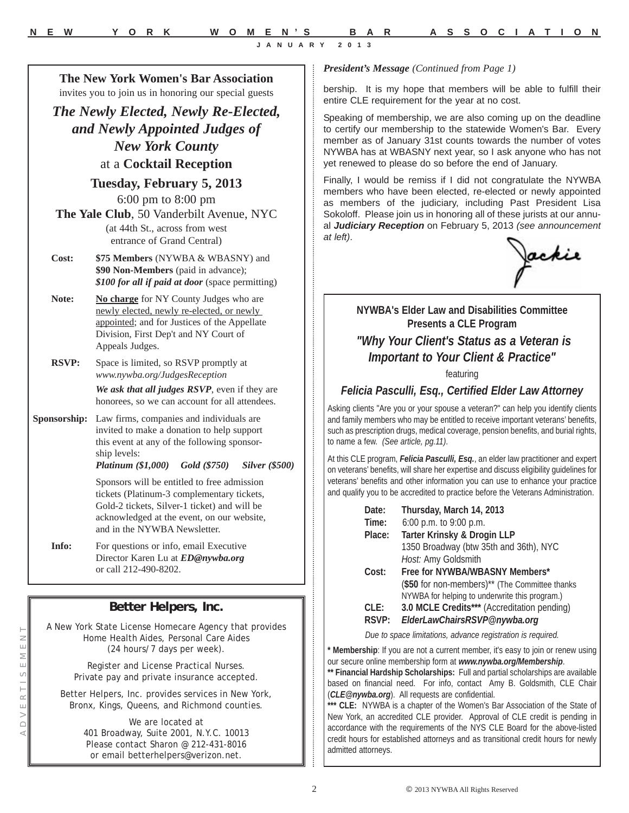*President's Message (Continued from Page 1)*

bership. It is my hope that members will be able to fulfill their entire CLE requirement for the year at no cost.

Speaking of membership, we are also coming up on the deadline to certify our membership to the statewide Women's Bar. Every member as of January 31st counts towards the number of votes NYWBA has at WBASNY next year, so I ask anyone who has not yet renewed to please do so before the end of January.

Finally, I would be remiss if I did not congratulate the NYWBA members who have been elected, re-elected or newly appointed as members of the judiciary, including Past President Lisa Sokoloff. Please join us in honoring all of these jurists at our annual *Judiciary Reception* on February 5, 2013 *(see announcement at left)*.



#### **NYWBA's Elder Law and Disabilities Committee Presents a CLE Program**

## *"Why Your Client's Status as a Veteran is Important to Your Client & Practice"*

featuring

#### *Felicia Pasculli, Esq., Certified Elder Law Attorney*

Asking clients "Are you or your spouse a veteran?" can help you identify clients and family members who may be entitled to receive important veterans' benefits, such as prescription drugs, medical coverage, pension benefits, and burial rights, to name a few. *(See article, pg.11)*.

At this CLE program, *Felicia Pasculli, Esq.*, an elder law practitioner and expert on veterans' benefits, will share her expertise and discuss eligibility guidelines for veterans' benefits and other information you can use to enhance your practice and qualify you to be accredited to practice before the Veterans Administration.

| Date:  | Thursday, March 14, 2013                        |  |
|--------|-------------------------------------------------|--|
| Time:  | 6:00 p.m. to 9:00 p.m.                          |  |
| Place: | Tarter Krinsky & Drogin LLP                     |  |
|        | 1350 Broadway (btw 35th and 36th), NYC          |  |
|        | Host: Amy Goldsmith                             |  |
| Cost:  | Free for NYWBA/WBASNY Members*                  |  |
|        | (\$50 for non-members)** (The Committee thanks) |  |
|        | NYWBA for helping to underwrite this program.)  |  |
| CLE:   | 3.0 MCLE Credits*** (Accreditation pending)     |  |
| RSVP:  | ElderLawChairsRSVP@nywba.org                    |  |

*Due to space limitations, advance registration is required.*

Membership: If you are not a current member, it's easy to join or renew using our secure online membership form at *www.nywba.org/Membership*.

**\*\* Financial Hardship Scholarships:** Full and partial scholarships are available based on financial need. For info, contact Amy B. Goldsmith, CLE Chair (*CLE@nywba.org*). All requests are confidential.

**\*\*\* CLE:** NYWBA is a chapter of the Women's Bar Association of the State of New York, an accredited CLE provider. Approval of CLE credit is pending in accordance with the requirements of the NYS CLE Board for the above-listed credit hours for established attorneys and as transitional credit hours for newly admitted attorneys.

**The New York Women's Bar Association** invites you to join us in honoring our special guests

*The Newly Elected, Newly Re-Elected, and Newly Appointed Judges of New York County* at a **Cocktail Reception**

> **Tuesday, February 5, 2013** 6:00 pm to 8:00 pm

**The Yale Club**, 50 Vanderbilt Avenue, NYC (at 44th St., across from west entrance of Grand Central)

**Cost: \$75 Members** (NYWBA & WBASNY) and **\$90 Non-Members** (paid in advance); *\$100 for all if paid at door* (space permitting)

- Note: No charge for NY County Judges who are newly elected, newly re-elected, or newly appointed; and for Justices of the Appellate Division, First Dep't and NY Court of Appeals Judges.
- **RSVP:** Space is limited, so RSVP promptly at *www.nywba.org/JudgesReception*

*We ask that all judges RSVP*, even if they are honorees, so we can account for all attendees.

**Sponsorship:** Law firms, companies and individuals are invited to make a donation to help support this event at any of the following sponsorship levels:

*Platinum (\$1,000) Gold (\$750) Silver (\$500)*

Sponsors will be entitled to free admission tickets (Platinum-3 complementary tickets, Gold-2 tickets, Silver-1 ticket) and will be acknowledged at the event, on our website, and in the NYWBA Newsletter.

**Info:** For questions or info, email Executive Director Karen Lu at *ED@nywba.org*  or call 212-490-8202.

### **Better Helpers, Inc.**

A New York State License Homecare Agency that provides Home Health Aides, Personal Care Aides (24 hours/7 days per week).

> Register and License Practical Nurses. Private pay and private insurance accepted.

Better Helpers, Inc. provides services in New York, Bronx, Kings, Queens, and Richmond counties.

> We are located at 401 Broadway, Suite 2001, N.Y.C. 10013 Please contact Sharon @ 212-431-8016 or email betterhelpers@verizon.net.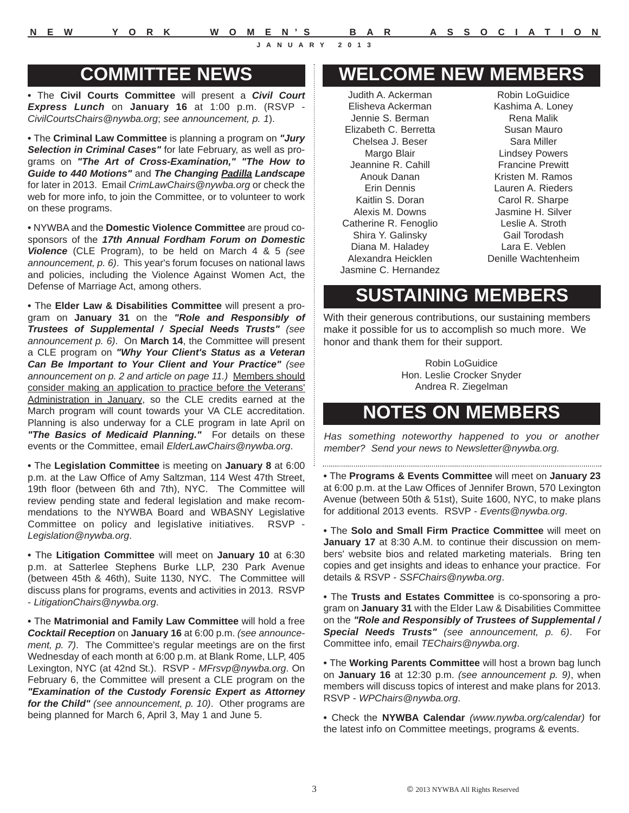## **COMMITTEE NEWS**

**•** The **Civil Courts Committee** will present a *Civil Court Express Lunch* on **January 16** at 1:00 p.m. (RSVP - *CivilCourtsChairs@nywba.org*; *see announcement, p. 1*).

**•** The **Criminal Law Committee** is planning a program on *"Jury Selection in Criminal Cases"* for late February, as well as programs on *"The Art of Cross-Examination," "The How to Guide to 440 Motions"* and *The Changing Padilla Landscape* for later in 2013. Email *CrimLawChairs@nywba.org* or check the web for more info, to join the Committee, or to volunteer to work on these programs.

**•** NYWBA and the **Domestic Violence Committee** are proud cosponsors of the *17th Annual Fordham Forum on Domestic Violence* (CLE Program), to be held on March 4 & 5 *(see announcement, p. 6)*. This year's forum focuses on national laws and policies, including the Violence Against Women Act, the Defense of Marriage Act, among others.

**•** The **Elder Law & Disabilities Committee** will present a program on **January 31** on the *"Role and Responsibly of Trustees of Supplemental / Special Needs Trusts" (see announcement p. 6)*. On **March 14**, the Committee will present a CLE program on *"Why Your Client's Status as a Veteran Can Be Important to Your Client and Your Practice" (see announcement on p. 2 and article on page 11.)* Members should consider making an application to practice before the Veterans' Administration in January, so the CLE credits earned at the March program will count towards your VA CLE accreditation. Planning is also underway for a CLE program in late April on *"The Basics of Medicaid Planning."* For details on these events or the Committee, email *ElderLawChairs@nywba.org*.

**•** The **Legislation Committee** is meeting on **January 8** at 6:00 p.m. at the Law Office of Amy Saltzman, 114 West 47th Street, 19th floor (between 6th and 7th), NYC. The Committee will review pending state and federal legislation and make recommendations to the NYWBA Board and WBASNY Legislative Committee on policy and legislative initiatives. RSVP - *Legislation@nywba.org*.

**•** The **Litigation Committee** will meet on **January 10** at 6:30 p.m. at Satterlee Stephens Burke LLP, 230 Park Avenue (between 45th & 46th), Suite 1130, NYC. The Committee will discuss plans for programs, events and activities in 2013. RSVP - *LitigationChairs@nywba.org*.

**•** The **Matrimonial and Family Law Committee** will hold a free *Cocktail Reception* on **January 16** at 6:00 p.m. *(see announcement, p. 7)*. The Committee's regular meetings are on the first Wednesday of each month at 6:00 p.m. at Blank Rome, LLP, 405 Lexington, NYC (at 42nd St.). RSVP - *MFrsvp@nywba.org*. On February 6, the Committee will present a CLE program on the *"Examination of the Custody Forensic Expert as Attorney for the Child" (see announcement, p. 10)*. Other programs are being planned for March 6, April 3, May 1 and June 5.

# **WELCOME NEW MEMBERS**

Judith A. Ackerman Elisheva Ackerman Jennie S. Berman Elizabeth C. Berretta Chelsea J. Beser Margo Blair Jeannine R. Cahill Anouk Danan Erin Dennis Kaitlin S. Doran Alexis M. Downs Catherine R. Fenoglio Shira Y. Galinsky Diana M. Haladey Alexandra Heicklen Jasmine C. Hernandez

Robin LoGuidice Kashima A. Loney Rena Malik Susan Mauro Sara Miller Lindsey Powers Francine Prewitt Kristen M. Ramos Lauren A. Rieders Carol R. Sharpe Jasmine H. Silver Leslie A. Stroth Gail Torodash Lara E. Veblen Denille Wachtenheim

# **SUSTAINING MEMBERS**

With their generous contributions, our sustaining members make it possible for us to accomplish so much more. We honor and thank them for their support.

> Robin LoGuidice Hon. Leslie Crocker Snyder Andrea R. Ziegelman

# **NOTES ON MEMBERS**

*Has something noteworthy happened to you or another member? Send your news to Newsletter@nywba.org.*

**•** The **Programs & Events Committee** will meet on **January 23** at 6:00 p.m. at the Law Offices of Jennifer Brown, 570 Lexington Avenue (between 50th & 51st), Suite 1600, NYC, to make plans for additional 2013 events. RSVP - *Events@nywba.org*.

**•** The **Solo and Small Firm Practice Committee** will meet on **January 17** at 8:30 A.M. to continue their discussion on members' website bios and related marketing materials. Bring ten copies and get insights and ideas to enhance your practice. For details & RSVP - *SSFChairs@nywba.org*.

**•** The **Trusts and Estates Committee** is co-sponsoring a program on **January 31** with the Elder Law & Disabilities Committee on the *"Role and Responsibly of Trustees of Supplemental / Special Needs Trusts" (see announcement, p. 6)*. For Committee info, email *TEChairs@nywba.org*.

**•** The **Working Parents Committee** will host a brown bag lunch on **January 16** at 12:30 p.m. *(see announcement p. 9)*, when members will discuss topics of interest and make plans for 2013. RSVP - *WPChairs@nywba.org*.

**•** Check the **NYWBA Calendar** *(www.nywba.org/calendar)* for the latest info on Committee meetings, programs & events.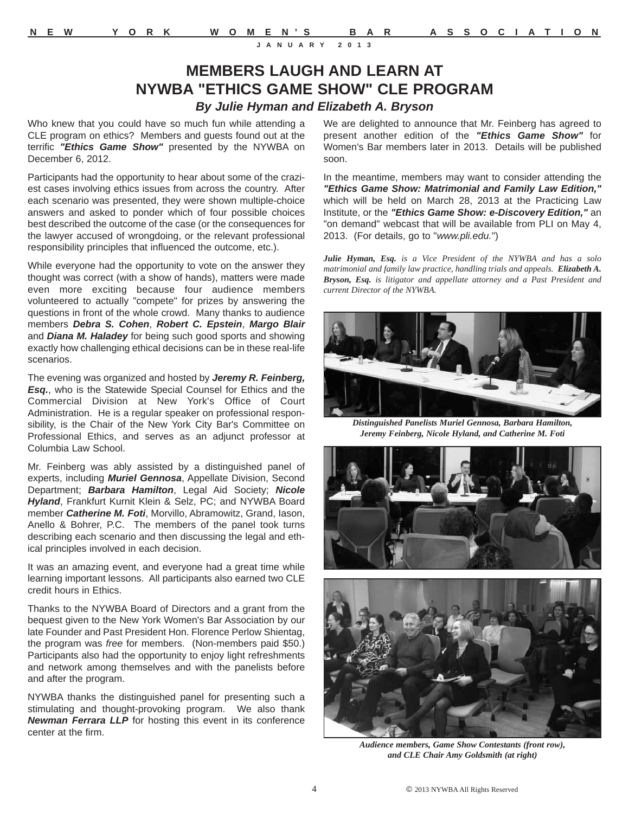## **MEMBERS LAUGH AND LEARN AT NYWBA "ETHICS GAME SHOW" CLE PROGRAM** *By Julie Hyman and Elizabeth A. Bryson*

Who knew that you could have so much fun while attending a CLE program on ethics? Members and guests found out at the terrific *"Ethics Game Show"* presented by the NYWBA on December 6, 2012.

Participants had the opportunity to hear about some of the craziest cases involving ethics issues from across the country. After each scenario was presented, they were shown multiple-choice answers and asked to ponder which of four possible choices best described the outcome of the case (or the consequences for the lawyer accused of wrongdoing, or the relevant professional responsibility principles that influenced the outcome, etc.).

While everyone had the opportunity to vote on the answer they thought was correct (with a show of hands), matters were made even more exciting because four audience members volunteered to actually "compete" for prizes by answering the questions in front of the whole crowd. Many thanks to audience members *Debra S. Cohen*, *Robert C. Epstein*, *Margo Blair* and *Diana M. Haladey* for being such good sports and showing exactly how challenging ethical decisions can be in these real-life scenarios.

The evening was organized and hosted by *Jeremy R. Feinberg, Esq.*, who is the Statewide Special Counsel for Ethics and the Commercial Division at New York's Office of Court Administration. He is a regular speaker on professional responsibility, is the Chair of the New York City Bar's Committee on Professional Ethics, and serves as an adjunct professor at Columbia Law School.

Mr. Feinberg was ably assisted by a distinguished panel of experts, including *Muriel Gennosa*, Appellate Division, Second Department; *Barbara Hamilton*, Legal Aid Society; *Nicole Hyland*, Frankfurt Kurnit Klein & Selz, PC; and NYWBA Board member *Catherine M. Foti*, Morvillo, Abramowitz, Grand, Iason, Anello & Bohrer, P.C. The members of the panel took turns describing each scenario and then discussing the legal and ethical principles involved in each decision.

It was an amazing event, and everyone had a great time while learning important lessons. All participants also earned two CLE credit hours in Ethics.

Thanks to the NYWBA Board of Directors and a grant from the bequest given to the New York Women's Bar Association by our late Founder and Past President Hon. Florence Perlow Shientag, the program was *free* for members. (Non-members paid \$50.) Participants also had the opportunity to enjoy light refreshments and network among themselves and with the panelists before and after the program.

NYWBA thanks the distinguished panel for presenting such a stimulating and thought-provoking program. We also thank *Newman Ferrara LLP* for hosting this event in its conference center at the firm.

We are delighted to announce that Mr. Feinberg has agreed to present another edition of the *"Ethics Game Show"* for Women's Bar members later in 2013. Details will be published soon.

In the meantime, members may want to consider attending the *"Ethics Game Show: Matrimonial and Family Law Edition,"* which will be held on March 28, 2013 at the Practicing Law Institute, or the *"Ethics Game Show: e-Discovery Edition,"* an "on demand" webcast that will be available from PLI on May 4, 2013. (For details, go to "*www.pli.edu.*")

*Julie Hyman, Esq. is a Vice President of the NYWBA and has a solo matrimonial and family law practice, handling trials and appeals. Elizabeth A. Bryson, Esq. is litigator and appellate attorney and a Past President and current Director of the NYWBA.*



*Distinguished Panelists Muriel Gennosa, Barbara Hamilton, Jeremy Feinberg, Nicole Hyland, and Catherine M. Foti*





*Audience members, Game Show Contestants (front row), and CLE Chair Amy Goldsmith (at right)*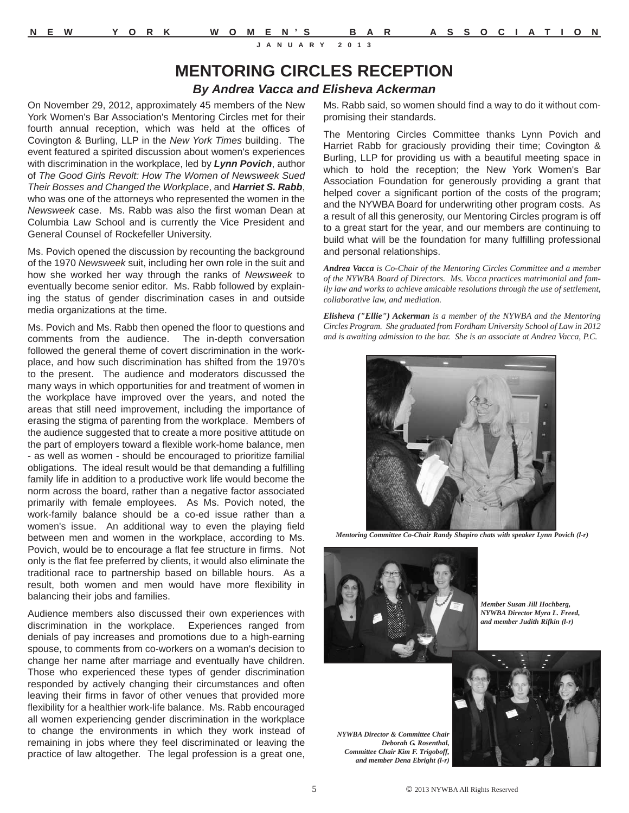## **MENTORING CIRCLES RECEPTION**

#### *By Andrea Vacca and Elisheva Ackerman*

On November 29, 2012, approximately 45 members of the New York Women's Bar Association's Mentoring Circles met for their fourth annual reception, which was held at the offices of Covington & Burling, LLP in the *New York Times* building. The event featured a spirited discussion about women's experiences with discrimination in the workplace, led by *Lynn Povich*, author of *The Good Girls Revolt: How The Women of Newsweek Sued Their Bosses and Changed the Workplace*, and *Harriet S. Rabb*, who was one of the attorneys who represented the women in the *Newsweek* case. Ms. Rabb was also the first woman Dean at Columbia Law School and is currently the Vice President and General Counsel of Rockefeller University.

Ms. Povich opened the discussion by recounting the background of the 1970 *Newsweek* suit, including her own role in the suit and how she worked her way through the ranks of *Newsweek* to eventually become senior editor. Ms. Rabb followed by explaining the status of gender discrimination cases in and outside media organizations at the time.

Ms. Povich and Ms. Rabb then opened the floor to questions and comments from the audience. The in-depth conversation followed the general theme of covert discrimination in the workplace, and how such discrimination has shifted from the 1970's to the present. The audience and moderators discussed the many ways in which opportunities for and treatment of women in the workplace have improved over the years, and noted the areas that still need improvement, including the importance of erasing the stigma of parenting from the workplace. Members of the audience suggested that to create a more positive attitude on the part of employers toward a flexible work-home balance, men - as well as women - should be encouraged to prioritize familial obligations. The ideal result would be that demanding a fulfilling family life in addition to a productive work life would become the norm across the board, rather than a negative factor associated primarily with female employees. As Ms. Povich noted, the work-family balance should be a co-ed issue rather than a women's issue. An additional way to even the playing field between men and women in the workplace, according to Ms. Povich, would be to encourage a flat fee structure in firms. Not only is the flat fee preferred by clients, it would also eliminate the traditional race to partnership based on billable hours. As a result, both women and men would have more flexibility in balancing their jobs and families.

Audience members also discussed their own experiences with discrimination in the workplace. Experiences ranged from denials of pay increases and promotions due to a high-earning spouse, to comments from co-workers on a woman's decision to change her name after marriage and eventually have children. Those who experienced these types of gender discrimination responded by actively changing their circumstances and often leaving their firms in favor of other venues that provided more flexibility for a healthier work-life balance. Ms. Rabb encouraged all women experiencing gender discrimination in the workplace to change the environments in which they work instead of remaining in jobs where they feel discriminated or leaving the practice of law altogether. The legal profession is a great one,

Ms. Rabb said, so women should find a way to do it without compromising their standards.

The Mentoring Circles Committee thanks Lynn Povich and Harriet Rabb for graciously providing their time; Covington & Burling, LLP for providing us with a beautiful meeting space in which to hold the reception; the New York Women's Bar Association Foundation for generously providing a grant that helped cover a significant portion of the costs of the program; and the NYWBA Board for underwriting other program costs. As a result of all this generosity, our Mentoring Circles program is off to a great start for the year, and our members are continuing to build what will be the foundation for many fulfilling professional and personal relationships.

*Andrea Vacca is Co-Chair of the Mentoring Circles Committee and a member of the NYWBA Board of Directors. Ms. Vacca practices matrimonial and family law and works to achieve amicable resolutions through the use of settlement, collaborative law, and mediation.* 

*Elisheva ("Ellie") Ackerman is a member of the NYWBA and the Mentoring Circles Program. She graduated from Fordham University School of Law in 2012 and is awaiting admission to the bar. She is an associate at Andrea Vacca, P.C.*



*Mentoring Committee Co-Chair Randy Shapiro chats with speaker Lynn Povich (l-r)*



*Member Susan Jill Hochberg, NYWBA Director Myra L. Freed, and member Judith Rifkin (l-r)*

*NYWBA Director & Committee Chair Deborah G. Rosenthal, Committee Chair Kim F. Trigoboff, and member Dena Ebright (l-r)*

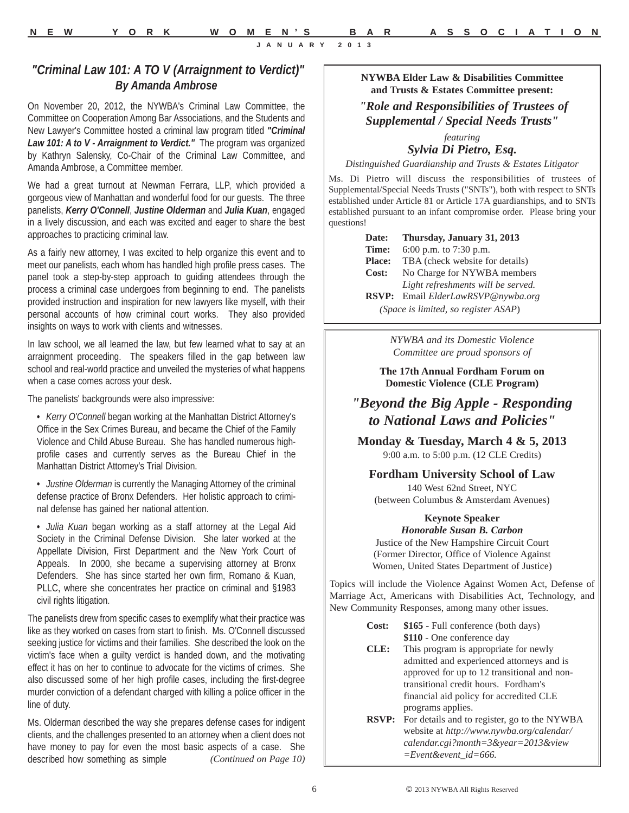#### *"Criminal Law 101: A TO V (Arraignment to Verdict)" By Amanda Ambrose*

On November 20, 2012, the NYWBA's Criminal Law Committee, the Committee on Cooperation Among Bar Associations, and the Students and New Lawyer's Committee hosted a criminal law program titled *"Criminal Law 101: A to V - Arraignment to Verdict."* The program was organized by Kathryn Salensky, Co-Chair of the Criminal Law Committee, and Amanda Ambrose, a Committee member.

We had a great turnout at Newman Ferrara, LLP, which provided a gorgeous view of Manhattan and wonderful food for our guests. The three panelists, *Kerry O'Connell*, *Justine Olderman* and *Julia Kuan*, engaged in a lively discussion, and each was excited and eager to share the best approaches to practicing criminal law.

As a fairly new attorney, I was excited to help organize this event and to meet our panelists, each whom has handled high profile press cases. The panel took a step-by-step approach to guiding attendees through the process a criminal case undergoes from beginning to end. The panelists provided instruction and inspiration for new lawyers like myself, with their personal accounts of how criminal court works. They also provided insights on ways to work with clients and witnesses.

In law school, we all learned the law, but few learned what to say at an arraignment proceeding. The speakers filled in the gap between law school and real-world practice and unveiled the mysteries of what happens when a case comes across your desk.

The panelists' backgrounds were also impressive:

- **•** *Kerry O'Connell* began working at the Manhattan District Attorney's Office in the Sex Crimes Bureau, and became the Chief of the Family Violence and Child Abuse Bureau. She has handled numerous highprofile cases and currently serves as the Bureau Chief in the Manhattan District Attorney's Trial Division.
- **•** *Justine Olderman* is currently the Managing Attorney of the criminal defense practice of Bronx Defenders. Her holistic approach to criminal defense has gained her national attention.

**•** *Julia Kuan* began working as a staff attorney at the Legal Aid Society in the Criminal Defense Division. She later worked at the Appellate Division, First Department and the New York Court of Appeals. In 2000, she became a supervising attorney at Bronx Defenders. She has since started her own firm, Romano & Kuan, PLLC, where she concentrates her practice on criminal and §1983 civil rights litigation.

The panelists drew from specific cases to exemplify what their practice was like as they worked on cases from start to finish. Ms. O'Connell discussed seeking justice for victims and their families. She described the look on the victim's face when a guilty verdict is handed down, and the motivating effect it has on her to continue to advocate for the victims of crimes. She also discussed some of her high profile cases, including the first-degree murder conviction of a defendant charged with killing a police officer in the line of duty.

Ms. Olderman described the way she prepares defense cases for indigent clients, and the challenges presented to an attorney when a client does not have money to pay for even the most basic aspects of a case. She described how something as simple *(Continued on Page 10)*

#### **NYWBA Elder Law & Disabilities Committee and Trusts & Estates Committee present:**

#### *"Role and Responsibilities of Trustees of Supplemental / Special Needs Trusts"*

#### *featuring Sylvia Di Pietro, Esq.*

*Distinguished Guardianship and Trusts & Estates Litigator*

Ms. Di Pietro will discuss the responsibilities of trustees of Supplemental/Special Needs Trusts ("SNTs"), both with respect to SNTs established under Article 81 or Article 17A guardianships, and to SNTs established pursuant to an infant compromise order. Please bring your questions!

> **Date: Thursday, January 31, 2013 Time:** 6:00 p.m. to 7:30 p.m. **Place:** TBA (check website for details) **Cost:** No Charge for NYWBA members *Light refreshments will be served.* **RSVP:** Email *ElderLawRSVP@nywba.org (Space is limited, so register ASAP*)

> > *NYWBA and its Domestic Violence Committee are proud sponsors of*

**The 17th Annual Fordham Forum on Domestic Violence (CLE Program)**

### *"Beyond the Big Apple - Responding to National Laws and Policies"*

**Monday & Tuesday, March 4 & 5, 2013** 9:00 a.m. to 5:00 p.m. (12 CLE Credits)

**Fordham University School of Law** 140 West 62nd Street, NYC

(between Columbus & Amsterdam Avenues)

#### **Keynote Speaker** *Honorable Susan B. Carbon*

Justice of the New Hampshire Circuit Court (Former Director, Office of Violence Against Women, United States Department of Justice)

Topics will include the Violence Against Women Act, Defense of Marriage Act, Americans with Disabilities Act, Technology, and New Community Responses, among many other issues.

- **Cost: \$165** Full conference (both days) **\$110** - One conference day
- **CLE:** This program is appropriate for newly admitted and experienced attorneys and is approved for up to 12 transitional and nontransitional credit hours. Fordham's financial aid policy for accredited CLE programs applies.
- **RSVP:** For details and to register, go to the NYWBA website at *http://www.nywba.org/calendar/ calendar.cgi?month=3&year=2013&view =Event&event\_id=666.*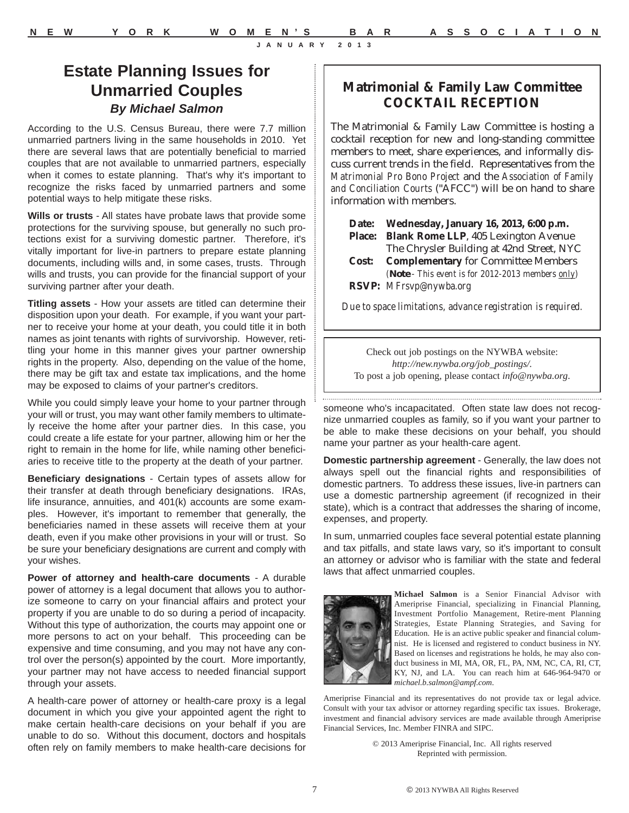# **Matrimonial & Family Law Committee COCKTAIL RECEPTION**

The Matrimonial & Family Law Committee is hosting a cocktail reception for new and long-standing committee members to meet, share experiences, and informally discuss current trends in the field. Representatives from the *Matrimonial Pro Bono Project* and the *Association of Family and Conciliation Courts* ("AFCC") will be on hand to share information with members.

| Date: Wednesday, January 16, 2013, 6:00 p.m.      |
|---------------------------------------------------|
| Place: Blank Rome LLP, 405 Lexington Avenue       |
| The Chrysler Building at 42nd Street, NYC         |
| <b>Cost:</b> Complementary for Committee Members  |
| (Note - This event is for 2012-2013 members only) |
| RSVP: MFrsvp@nywba.org                            |

*Due to space limitations, advance registration is required.*

Check out job postings on the NYWBA website: *http://new.nywba.org/job\_postings/.* To post a job opening, please contact *info@nywba.org*.

someone who's incapacitated. Often state law does not recognize unmarried couples as family, so if you want your partner to be able to make these decisions on your behalf, you should name your partner as your health-care agent.

**Domestic partnership agreement** - Generally, the law does not always spell out the financial rights and responsibilities of domestic partners. To address these issues, live-in partners can use a domestic partnership agreement (if recognized in their state), which is a contract that addresses the sharing of income, expenses, and property.

In sum, unmarried couples face several potential estate planning and tax pitfalls, and state laws vary, so it's important to consult an attorney or advisor who is familiar with the state and federal laws that affect unmarried couples.



**Michael Salmon** is a Senior Financial Advisor with Ameriprise Financial, specializing in Financial Planning, Investment Portfolio Management, Retire-ment Planning Strategies, Estate Planning Strategies, and Saving for Education. He is an active public speaker and financial columnist. He is licensed and registered to conduct business in NY. Based on licenses and registrations he holds, he may also conduct business in MI, MA, OR, FL, PA, NM, NC, CA, RI, CT, KY, NJ, and LA. You can reach him at 646-964-9470 or *michael.b.salmon@ampf.com*.

Ameriprise Financial and its representatives do not provide tax or legal advice. Consult with your tax advisor or attorney regarding specific tax issues. Brokerage, investment and financial advisory services are made available through Ameriprise Financial Services, Inc. Member FINRA and SIPC.

> © 2013 Ameriprise Financial, Inc. All rights reserved Reprinted with permission.

**Estate Planning Issues for Unmarried Couples** *By Michael Salmon*

According to the U.S. Census Bureau, there were 7.7 million unmarried partners living in the same households in 2010. Yet there are several laws that are potentially beneficial to married couples that are not available to unmarried partners, especially when it comes to estate planning. That's why it's important to recognize the risks faced by unmarried partners and some potential ways to help mitigate these risks.

**Wills or trusts** - All states have probate laws that provide some protections for the surviving spouse, but generally no such protections exist for a surviving domestic partner. Therefore, it's vitally important for live-in partners to prepare estate planning documents, including wills and, in some cases, trusts. Through wills and trusts, you can provide for the financial support of your surviving partner after your death.

**Titling assets** - How your assets are titled can determine their disposition upon your death. For example, if you want your partner to receive your home at your death, you could title it in both names as joint tenants with rights of survivorship. However, retitling your home in this manner gives your partner ownership rights in the property. Also, depending on the value of the home, there may be gift tax and estate tax implications, and the home may be exposed to claims of your partner's creditors.

While you could simply leave your home to your partner through your will or trust, you may want other family members to ultimately receive the home after your partner dies. In this case, you could create a life estate for your partner, allowing him or her the right to remain in the home for life, while naming other beneficiaries to receive title to the property at the death of your partner.

**Beneficiary designations** - Certain types of assets allow for their transfer at death through beneficiary designations. IRAs, life insurance, annuities, and 401(k) accounts are some examples. However, it's important to remember that generally, the beneficiaries named in these assets will receive them at your death, even if you make other provisions in your will or trust. So be sure your beneficiary designations are current and comply with your wishes.

**Power of attorney and health-care documents** - A durable power of attorney is a legal document that allows you to authorize someone to carry on your financial affairs and protect your property if you are unable to do so during a period of incapacity. Without this type of authorization, the courts may appoint one or more persons to act on your behalf. This proceeding can be expensive and time consuming, and you may not have any control over the person(s) appointed by the court. More importantly, your partner may not have access to needed financial support through your assets.

A health-care power of attorney or health-care proxy is a legal document in which you give your appointed agent the right to make certain health-care decisions on your behalf if you are unable to do so. Without this document, doctors and hospitals often rely on family members to make health-care decisions for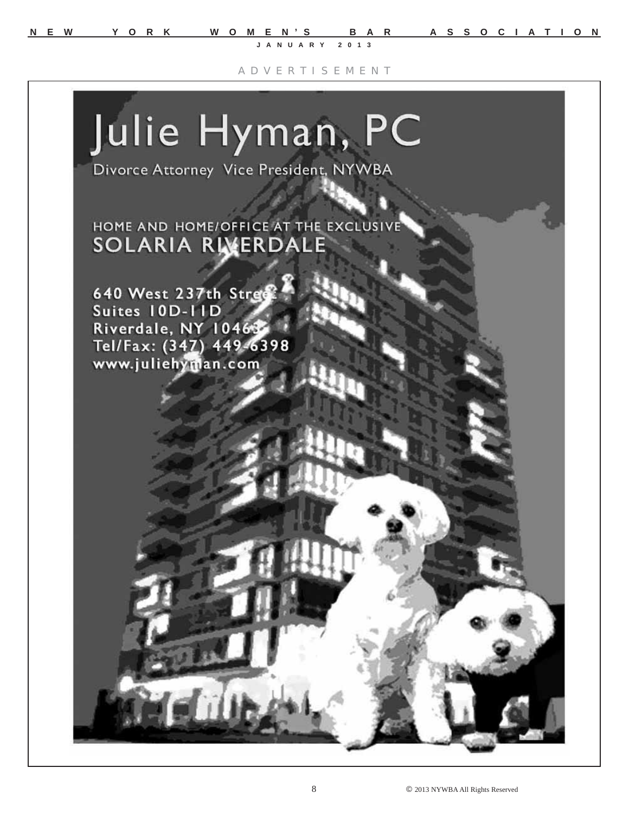**N E W Y O R K W O M E N'S B A R A S S O C I A T I O N**

**JANUARY 2013**

A D V E R T I S E M E N T

# Julie Hyman, PC

Divorce Attorney Vice President, NYWBA

HOME AND HOME/OFFICE AT THE EXCLUSIVE **SOLARIA RIVERDALE** 

640 West 237th Street Suites 10D-11D Riverdale, NY 10469 Tel/Fax: (347) 449-6398 www.juliehyman.com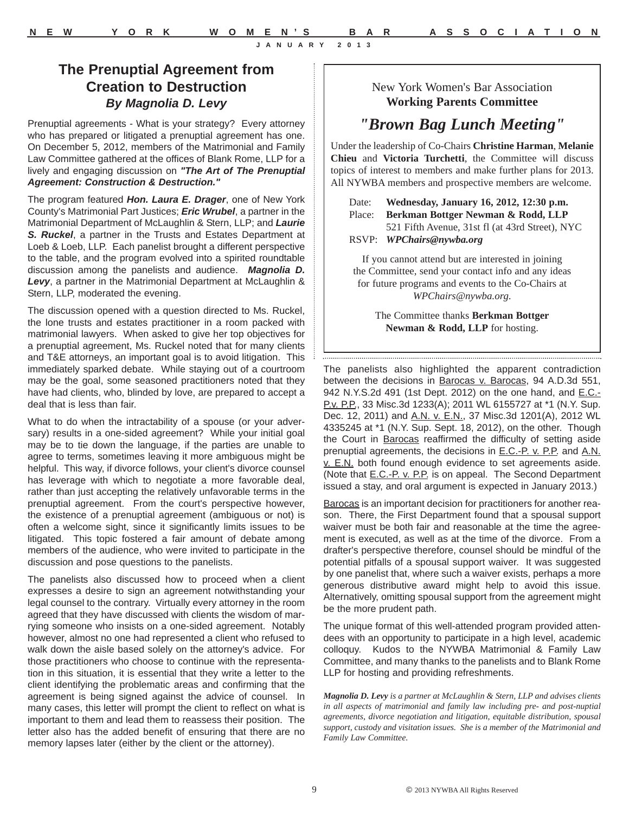New York Women's Bar Association **Working Parents Committee** 

## *"Brown Bag Lunch Meeting"*

Under the leadership of Co-Chairs **Christine Harman**, **Melanie Chieu** and **Victoria Turchetti**, the Committee will discuss topics of interest to members and make further plans for 2013. All NYWBA members and prospective members are welcome.

Date: **Wednesday, January 16, 2012, 12:30 p.m.** Place: **Berkman Bottger Newman & Rodd, LLP** 521 Fifth Avenue, 31st fl (at 43rd Street), NYC RSVP: *WPChairs@nywba.org*

If you cannot attend but are interested in joining the Committee, send your contact info and any ideas for future programs and events to the Co-Chairs at *WPChairs@nywba.org*.

> The Committee thanks **Berkman Bottger Newman & Rodd, LLP** for hosting.

The panelists also highlighted the apparent contradiction between the decisions in Barocas v. Barocas, 94 A.D.3d 551, 942 N.Y.S.2d 491 (1st Dept. 2012) on the one hand, and E.C.- P.v. P.P., 33 Misc.3d 1233(A); 2011 WL 6155727 at \*1 (N.Y. Sup. Dec. 12, 2011) and A.N. v. E.N., 37 Misc.3d 1201(A), 2012 WL 4335245 at \*1 (N.Y. Sup. Sept. 18, 2012), on the other. Though the Court in Barocas reaffirmed the difficulty of setting aside prenuptial agreements, the decisions in **E.C.-P. v. P.P.** and A.N. v. E.N. both found enough evidence to set agreements aside. (Note that E.C.-P. v. P.P. is on appeal. The Second Department issued a stay, and oral argument is expected in January 2013.)

Barocas is an important decision for practitioners for another reason. There, the First Department found that a spousal support waiver must be both fair and reasonable at the time the agreement is executed, as well as at the time of the divorce. From a drafter's perspective therefore, counsel should be mindful of the potential pitfalls of a spousal support waiver. It was suggested by one panelist that, where such a waiver exists, perhaps a more generous distributive award might help to avoid this issue. Alternatively, omitting spousal support from the agreement might be the more prudent path.

The unique format of this well-attended program provided attendees with an opportunity to participate in a high level, academic colloquy. Kudos to the NYWBA Matrimonial & Family Law Committee, and many thanks to the panelists and to Blank Rome LLP for hosting and providing refreshments.

*Magnolia D. Levy is a partner at McLaughlin & Stern, LLP and advises clients in all aspects of matrimonial and family law including pre- and post-nuptial agreements, divorce negotiation and litigation, equitable distribution, spousal support, custody and visitation issues. She is a member of the Matrimonial and Family Law Committee.* 

**The Prenuptial Agreement from Creation to Destruction** *By Magnolia D. Levy*

Prenuptial agreements - What is your strategy? Every attorney who has prepared or litigated a prenuptial agreement has one. On December 5, 2012, members of the Matrimonial and Family Law Committee gathered at the offices of Blank Rome, LLP for a lively and engaging discussion on *"The Art of The Prenuptial Agreement: Construction & Destruction."*

The program featured *Hon. Laura E. Drager*, one of New York County's Matrimonial Part Justices; *Eric Wrubel*, a partner in the Matrimonial Department of McLaughlin & Stern, LLP; and *Laurie S. Ruckel*, a partner in the Trusts and Estates Department at Loeb & Loeb, LLP. Each panelist brought a different perspective to the table, and the program evolved into a spirited roundtable discussion among the panelists and audience. *Magnolia D. Levy*, a partner in the Matrimonial Department at McLaughlin & Stern, LLP, moderated the evening.

The discussion opened with a question directed to Ms. Ruckel, the lone trusts and estates practitioner in a room packed with matrimonial lawyers. When asked to give her top objectives for a prenuptial agreement, Ms. Ruckel noted that for many clients and T&E attorneys, an important goal is to avoid litigation. This immediately sparked debate. While staying out of a courtroom may be the goal, some seasoned practitioners noted that they have had clients, who, blinded by love, are prepared to accept a deal that is less than fair.

What to do when the intractability of a spouse (or your adversary) results in a one-sided agreement? While your initial goal may be to tie down the language, if the parties are unable to agree to terms, sometimes leaving it more ambiguous might be helpful. This way, if divorce follows, your client's divorce counsel has leverage with which to negotiate a more favorable deal, rather than just accepting the relatively unfavorable terms in the prenuptial agreement. From the court's perspective however, the existence of a prenuptial agreement (ambiguous or not) is often a welcome sight, since it significantly limits issues to be litigated. This topic fostered a fair amount of debate among members of the audience, who were invited to participate in the discussion and pose questions to the panelists.

The panelists also discussed how to proceed when a client expresses a desire to sign an agreement notwithstanding your legal counsel to the contrary. Virtually every attorney in the room agreed that they have discussed with clients the wisdom of marrying someone who insists on a one-sided agreement. Notably however, almost no one had represented a client who refused to walk down the aisle based solely on the attorney's advice. For those practitioners who choose to continue with the representation in this situation, it is essential that they write a letter to the client identifying the problematic areas and confirming that the agreement is being signed against the advice of counsel. In many cases, this letter will prompt the client to reflect on what is important to them and lead them to reassess their position. The letter also has the added benefit of ensuring that there are no memory lapses later (either by the client or the attorney).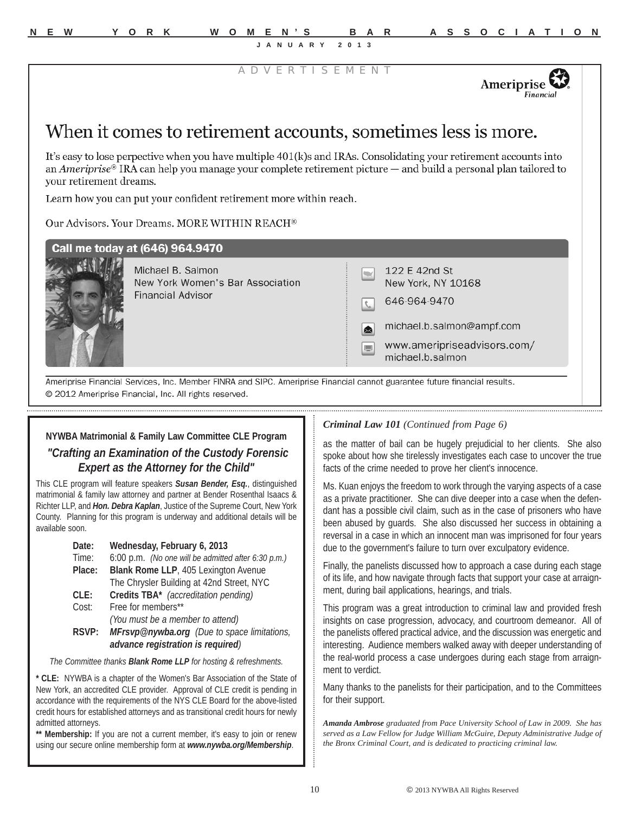D V E R T I S E M E N

Ameriprise Financia

# When it comes to retirement accounts, sometimes less is more.

It's easy to lose perpective when you have multiple 401(k)s and IRAs. Consolidating your retirement accounts into an Ameriprise® IRA can help you manage your complete retirement picture — and build a personal plan tailored to vour retirement dreams.

Learn how you can put your confident retirement more within reach.

Our Advisors, Your Dreams, MORE WITHIN REACH®

| Call me today at (646) 964.9470<br>Michael B. Salmon  | 122 E 42nd St                                        |
|-------------------------------------------------------|------------------------------------------------------|
| New York Women's Bar Association<br>Financial Advisor | New York, NY 10168                                   |
|                                                       | 646-964-9470                                         |
|                                                       | michael.b.salmon@ampf.com<br>囟                       |
|                                                       | www.ameripriseadvisors.com/<br>Æ<br>michael.b.salmon |

SIPC. Ameriprise Financial @ 2012 Ameriprise Financial, Inc. All rights reserved.

#### **NYWBA Matrimonial & Family Law Committee CLE Program**

#### *"Crafting an Examination of the Custody Forensic Expert as the Attorney for the Child"*

This CLE program will feature speakers *Susan Bender, Esq.*, distinguished matrimonial & family law attorney and partner at Bender Rosenthal Isaacs & Richter LLP, and *Hon. Debra Kaplan*, Justice of the Supreme Court, New York County. Planning for this program is underway and additional details will be available soon.

| Wednesday, February 6, 2013                                                      |  |  |
|----------------------------------------------------------------------------------|--|--|
| 6:00 p.m. (No one will be admitted after 6:30 p.m.)                              |  |  |
| Blank Rome LLP, 405 Lexington Avenue                                             |  |  |
| The Chrysler Building at 42nd Street, NYC                                        |  |  |
| Credits TBA* (accreditation pending)                                             |  |  |
| Free for members**                                                               |  |  |
| (You must be a member to attend)                                                 |  |  |
| MFrsvp@nywba.org (Due to space limitations,<br>advance registration is required) |  |  |
|                                                                                  |  |  |

*The Committee thanks Blank Rome LLP for hosting & refreshments.*

**\* CLE:** NYWBA is a chapter of the Women's Bar Association of the State of New York, an accredited CLE provider. Approval of CLE credit is pending in accordance with the requirements of the NYS CLE Board for the above-listed credit hours for established attorneys and as transitional credit hours for newly admitted attorneys.

**\*\* Membership:** If you are not a current member, it's easy to join or renew using our secure online membership form at *www.nywba.org/Membership*.

#### *Criminal Law 101 (Continued from Page 6)*

as the matter of bail can be hugely prejudicial to her clients. She also spoke about how she tirelessly investigates each case to uncover the true facts of the crime needed to prove her client's innocence.

Ms. Kuan enjoys the freedom to work through the varying aspects of a case as a private practitioner. She can dive deeper into a case when the defendant has a possible civil claim, such as in the case of prisoners who have been abused by guards. She also discussed her success in obtaining a reversal in a case in which an innocent man was imprisoned for four years due to the government's failure to turn over exculpatory evidence.

Finally, the panelists discussed how to approach a case during each stage of its life, and how navigate through facts that support your case at arraignment, during bail applications, hearings, and trials.

This program was a great introduction to criminal law and provided fresh insights on case progression, advocacy, and courtroom demeanor. All of the panelists offered practical advice, and the discussion was energetic and interesting. Audience members walked away with deeper understanding of the real-world process a case undergoes during each stage from arraignment to verdict.

Many thanks to the panelists for their participation, and to the Committees for their support.

*Amanda Ambrose graduated from Pace University School of Law in 2009. She has served as a Law Fellow for Judge William McGuire, Deputy Administrative Judge of the Bronx Criminal Court, and is dedicated to practicing criminal law.*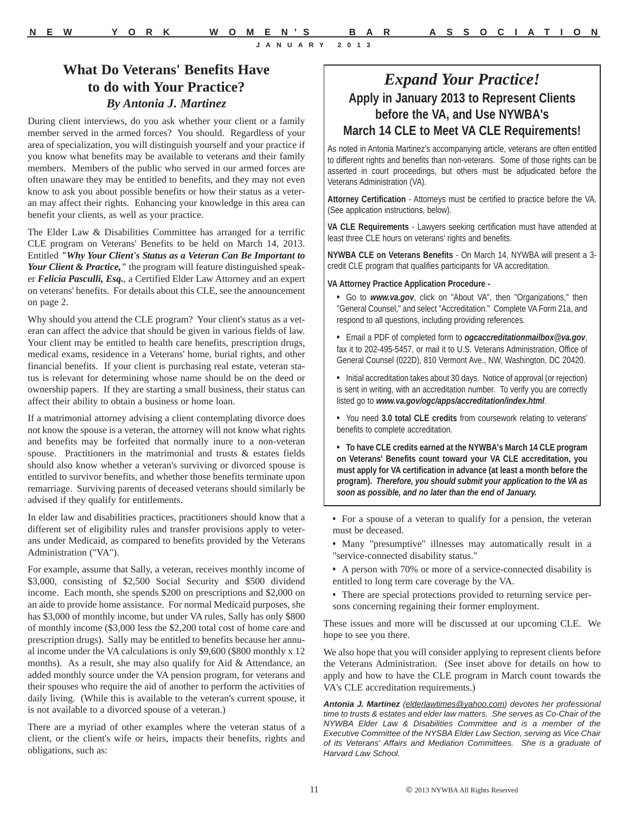#### **What Do Veterans' Benefits Have to do with Your Practice?** *By Antonia J. Martinez*

During client interviews, do you ask whether your client or a family member served in the armed forces? You should. Regardless of your area of specialization, you will distinguish yourself and your practice if you know what benefits may be available to veterans and their family members. Members of the public who served in our armed forces are often unaware they may be entitled to benefits, and they may not even know to ask you about possible benefits or how their status as a veteran may affect their rights. Enhancing your knowledge in this area can benefit your clients, as well as your practice.

The Elder Law & Disabilities Committee has arranged for a terrific CLE program on Veterans' Benefits to be held on March 14, 2013. Entitled *"Why Your Client's Status as a Veteran Can Be Important to Your Client & Practice,"* the program will feature distinguished speaker *Felicia Pasculli, Esq.*, a Certified Elder Law Attorney and an expert on veterans' benefits. For details about this CLE, see the announcement on page 2.

Why should you attend the CLE program? Your client's status as a veteran can affect the advice that should be given in various fields of law. Your client may be entitled to health care benefits, prescription drugs, medical exams, residence in a Veterans' home, burial rights, and other financial benefits. If your client is purchasing real estate, veteran status is relevant for determining whose name should be on the deed or ownership papers. If they are starting a small business, their status can affect their ability to obtain a business or home loan.

If a matrimonial attorney advising a client contemplating divorce does not know the spouse is a veteran, the attorney will not know what rights and benefits may be forfeited that normally inure to a non-veteran spouse. Practitioners in the matrimonial and trusts & estates fields should also know whether a veteran's surviving or divorced spouse is entitled to survivor benefits, and whether those benefits terminate upon remarriage. Surviving parents of deceased veterans should similarly be advised if they qualify for entitlements.

In elder law and disabilities practices, practitioners should know that a different set of eligibility rules and transfer provisions apply to veterans under Medicaid, as compared to benefits provided by the Veterans Administration ("VA").

For example, assume that Sally, a veteran, receives monthly income of \$3,000, consisting of \$2,500 Social Security and \$500 dividend income. Each month, she spends \$200 on prescriptions and \$2,000 on an aide to provide home assistance. For normal Medicaid purposes, she has \$3,000 of monthly income, but under VA rules, Sally has only \$800 of monthly income (\$3,000 less the \$2,200 total cost of home care and prescription drugs). Sally may be entitled to benefits because her annual income under the VA calculations is only \$9,600 (\$800 monthly x 12 months). As a result, she may also qualify for Aid & Attendance, an added monthly source under the VA pension program, for veterans and their spouses who require the aid of another to perform the activities of daily living. (While this is available to the veteran's current spouse, it is not available to a divorced spouse of a veteran.)

There are a myriad of other examples where the veteran status of a client, or the client's wife or heirs, impacts their benefits, rights and obligations, such as:

### *Expand Your Practice!* **Apply in January 2013 to Represent Clients before the VA, and Use NYWBA's March 14 CLE to Meet VA CLE Requirements!**

As noted in Antonia Martinez's accompanying article, veterans are often entitled to different rights and benefits than non-veterans. Some of those rights can be asserted in court proceedings, but others must be adjudicated before the Veterans Administration (VA).

**Attorney Certification** - Attorneys must be certified to practice before the VA. (See application instructions, below).

**VA CLE Requirements** - Lawyers seeking certification must have attended at least three CLE hours on veterans' rights and benefits.

**NYWBA CLE on Veterans Benefits** - On March 14, NYWBA will present a 3 credit CLE program that qualifies participants for VA accreditation.

#### **VA Attorney Practice Application Procedure -**

- **•** Go to *www.va.gov*, click on "About VA", then "Organizations," then "General Counsel," and select "Accreditation." Complete VA Form 21a, and respond to all questions, including providing references.
- **•** Email a PDF of completed form to *ogcaccreditationmailbox@va.gov*, fax it to 202-495-5457, or mail it to U.S. Veterans Administration, Office of General Counsel (022D), 810 Vermont Ave., NW, Washington, DC 20420.

**•** Initial accreditation takes about 30 days. Notice of approval (or rejection) is sent in writing, with an accreditation number. To verify you are correctly listed go to *www.va.gov/ogc/apps/accreditation/index.html*.

**•** You need **3.0 total CLE credits** from coursework relating to veterans' benefits to complete accreditation.

**• To have CLE credits earned at the NYWBA's March 14 CLE program on Veterans' Benefits count toward your VA CLE accreditation, you must apply for VA certification in advance (at least a month before the program).** *Therefore, you should submit your application to the VA as soon as possible, and no later than the end of January.*

**•** For a spouse of a veteran to qualify for a pension, the veteran must be deceased.

- **•** Many "presumptive" illnesses may automatically result in a "service-connected disability status."
- **•** A person with 70% or more of a service-connected disability is entitled to long term care coverage by the VA.
- **•** There are special protections provided to returning service persons concerning regaining their former employment.

These issues and more will be discussed at our upcoming CLE. We hope to see you there.

We also hope that you will consider applying to represent clients before the Veterans Administration. (See inset above for details on how to apply and how to have the CLE program in March count towards the VA's CLE accreditation requirements.)

*Antonia J. Martinez (elderlawtimes@yahoo.com) devotes her professional time to trusts & estates and elder law matters. She serves as Co-Chair of the NYWBA Elder Law & Disabilities Committee and is a member of the Executive Committee of the NYSBA Elder Law Section, serving as Vice Chair of its Veterans' Affairs and Mediation Committees. She is a graduate of Harvard Law School.*